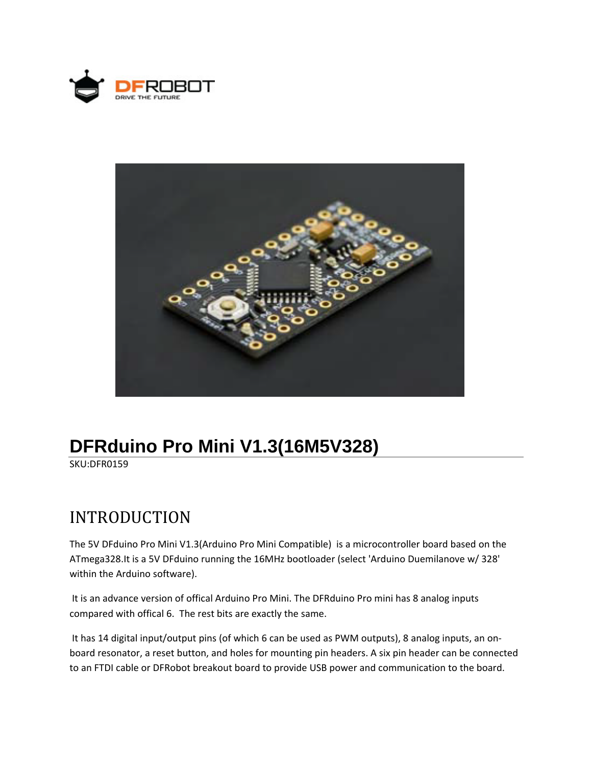



## **DFRduino Pro Mini V1.3(16M5V328)**

SKU:DFR0159

## INTRODUCTION

The 5V DFduino Pro Mini V1.3(Arduino Pro Mini Compatible) is a microcontroller board based on the ATmega328.It is a 5V DFduino running the 16MHz bootloader (select 'Arduino Duemilanove w/ 328' within the Arduino software).

It is an advance version of offical Arduino Pro Mini. The DFRduino Pro mini has 8 analog inputs compared with offical 6. The rest bits are exactly the same.

It has 14 digital input/output pins (of which 6 can be used as PWM outputs), 8 analog inputs, an onboard resonator, a reset button, and holes for mounting pin headers. A six pin header can be connected to an FTDI cable or DFRobot breakout board to provide USB power and communication to the board.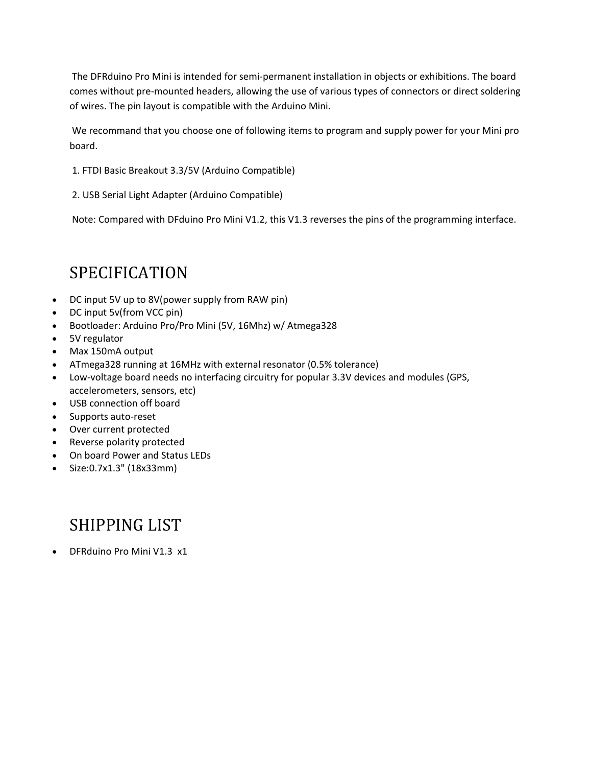The DFRduino Pro Mini is intended for semi‐permanent installation in objects or exhibitions. The board comes without pre‐mounted headers, allowing the use of various types of connectors or direct soldering of wires. The pin layout is compatible with the Arduino Mini.

We recommand that you choose one of following items to program and supply power for your Mini pro board.

- 1. FTDI Basic Breakout 3.3/5V (Arduino Compatible)
- 2. USB Serial Light Adapter (Arduino Compatible)

Note: Compared with DFduino Pro Mini V1.2, this V1.3 reverses the pins of the programming interface.

## SPECIFICATION

- DC input 5V up to 8V(power supply from RAW pin)
- DC input 5v(from VCC pin)
- Bootloader: Arduino Pro/Pro Mini (5V, 16Mhz) w/ Atmega328
- 5V regulator
- Max 150mA output
- ATmega328 running at 16MHz with external resonator (0.5% tolerance)
- Low‐voltage board needs no interfacing circuitry for popular 3.3V devices and modules (GPS, accelerometers, sensors, etc)
- USB connection off board
- Supports auto-reset
- Over current protected
- Reverse polarity protected
- On board Power and Status LEDs
- Size:0.7x1.3" (18x33mm)

## SHIPPING LIST

DFRduino Pro Mini V1.3 x1